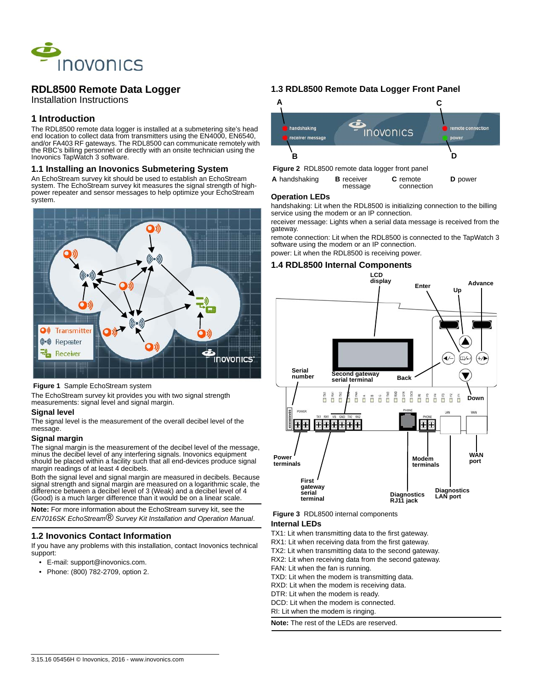

# **RDL8500 Remote Data Logger**

Installation Instructions

## **1 Introduction**

The RDL8500 remote data logger is installed at a submetering site's head end location to collect data from transmitters using the EN4000, EN6540, and/or FA403 RF gateways. The RDL8500 can communicate remotely with the RBC's billing personnel or directly with an onsite technician using the Inovonics TapWatch 3 software.

#### **1.1 Installing an Inovonics Submetering System**

An EchoStream survey kit should be used to establish an EchoStream system. The EchoStream survey kit measures the signal strength of highpower repeater and sensor messages to help optimize your EchoStream system.



#### **Figure 1** Sample EchoStream system

The EchoStream survey kit provides you with two signal strength measurements: signal level and signal margin.

#### **Signal level**

The signal level is the measurement of the overall decibel level of the message.

#### **Signal margin**

The signal margin is the measurement of the decibel level of the message, minus the decibel level of any interfering signals. Inovonics equipment should be placed within a facility such that all end-devices produce signal margin readings of at least 4 decibels.

Both the signal level and signal margin are measured in decibels. Because signal strength and signal margin are measured on a logarithmic scale, the difference between a decibel level of 3 (Weak) and a decibel level of 4 (Good) is a much larger difference than it would be on a linear scale.

**Note:** For more information about the EchoStream survey kit, see the *EN7016SK EchoStream® Survey Kit Installation and Operation Manual*.

### **1.2 Inovonics Contact Information**

If you have any problems with this installation, contact Inovonics technical support:

- E-mail: support@inovonics.com.
- Phone: (800) 782-2709, option 2.

### **1.3 RDL8500 Remote Data Logger Front Panel**



| A handshaking | <b>B</b> receiver | <b>C</b> remote | <b>D</b> power |
|---------------|-------------------|-----------------|----------------|
|               | message           | connection      |                |

#### **Operation LEDs**

handshaking: Lit when the RDL8500 is initializing connection to the billing service using the modem or an IP connection.

receiver message: Lights when a serial data message is received from the gateway.

remote connection: Lit when the RDL8500 is connected to the TapWatch 3 software using the modem or an IP connection.

power: Lit when the RDL8500 is receiving power.

#### **1.4 RDL8500 Internal Components**



 **Figure 3** RDL8500 internal components

#### **Internal LEDs**

TX1: Lit when transmitting data to the first gateway.

RX1: Lit when receiving data from the first gateway.

TX2: Lit when transmitting data to the second gateway.

RX2: Lit when receiving data from the second gateway.

FAN: Lit when the fan is running.

TXD: Lit when the modem is transmitting data.

RXD: Lit when the modem is receiving data.

DTR: Lit when the modem is ready.

DCD: Lit when the modem is connected.

RI: Lit when the modem is ringing.

**Note:** The rest of the LEDs are reserved.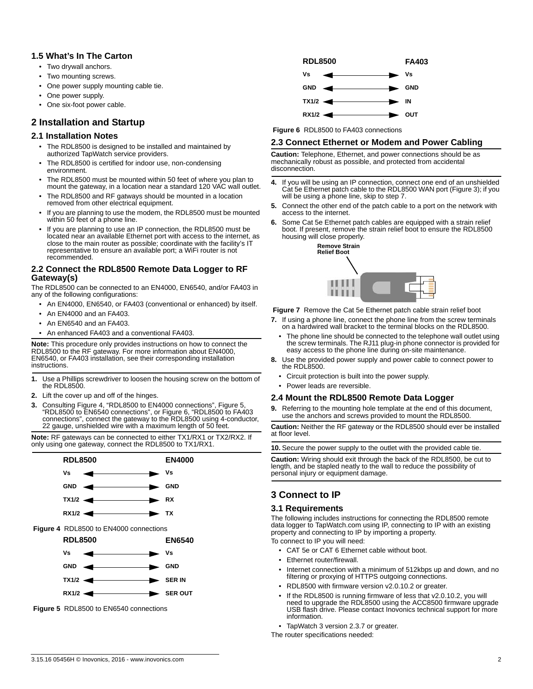### **1.5 What's In The Carton**

- Two drywall anchors.
- Two mounting screws.
- One power supply mounting cable tie.
- One power supply.
- One six-foot power cable.

## **2 Installation and Startup**

### **2.1 Installation Notes**

- The RDL8500 is designed to be installed and maintained by authorized TapWatch service providers.
- The RDL8500 is certified for indoor use, non-condensing environment.
- The RDL8500 must be mounted within 50 feet of where you plan to mount the gateway, in a location near a standard 120 VAC wall outlet.
- The RDL8500 and RF gatways should be mounted in a location removed from other electrical equipment.
- If you are planning to use the modem, the RDL8500 must be mounted within 50 feet of a phone line.
- If you are planning to use an IP connection, the RDL8500 must be located near an available Ethernet port with access to the internet, as close to the main router as possible; coordinate with the facility's IT representative to ensure an available port; a WiFi router is not recommended.

#### **2.2 Connect the RDL8500 Remote Data Logger to RF Gateway(s)**

The RDL8500 can be connected to an EN4000, EN6540, and/or FA403 in any of the following configurations:

- An EN4000, EN6540, or FA403 (conventional or enhanced) by itself.
- An EN4000 and an FA403.
- An EN6540 and an FA403.
- An enhanced FA403 and a conventional FA403.

**Note:** This procedure only provides instructions on how to connect the RDL8500 to the RF gateway. For more information about EN4000, EN6540, or FA403 installation, see their corresponding installation instructions.

- **1.** Use a Phillips screwdriver to loosen the housing screw on the bottom of the RDL8500.
- **2.** Lift the cover up and off of the hinges.
- **3.** Consulting Figure 4, "RDL8500 to EN4000 connections", Figure 5, "RDL8500 to EN6540 connections", or Figure 6, "RDL8500 to FA403 connections", connect the gateway to the RDL8500 using 4-conductor, 22 gauge, unshielded wire with a maximum length of 50 feet.

**Note:** RF gateways can be connected to either TX1/RX1 or TX2/RX2. If only using one gateway, connect the RDL8500 to TX1/RX1.



 **Figure 5** RDL8500 to EN6540 connections



 **Figure 6** RDL8500 to FA403 connections

#### **2.3 Connect Ethernet or Modem and Power Cabling**

**Caution:** Telephone, Ethernet, and power connections should be as mechanically robust as possible, and protected from accidental disconnection.

- **4.** If you will be using an IP connection, connect one end of an unshielded Cat 5e Ethernet patch cable to the RDL8500 WAN port (Figure 3); if you will be using a phone line, skip to step 7.
- **5.** Connect the other end of the patch cable to a port on the network with access to the internet.
- **6.** Some Cat 5e Ethernet patch cables are equipped with a strain relief boot. If present, remove the strain relief boot to ensure the RDL8500 housing will close properly.



 **Figure 7** Remove the Cat 5e Ethernet patch cable strain relief boot

- **7.** If using a phone line, connect the phone line from the screw terminals on a hardwired wall bracket to the terminal blocks on the RDL8500.
	- The phone line should be connected to the telephone wall outlet using the screw terminals. The RJ11 plug-in phone connector is provided for easy access to the phone line during on-site maintenance.
- **8.** Use the provided power supply and power cable to connect power to the RDL8500.
	- Circuit protection is built into the power supply.
	- Power leads are reversible.

#### **2.4 Mount the RDL8500 Remote Data Logger**

**9.** Referring to the mounting hole template at the end of this document, use the anchors and screws provided to mount the RDL8500.

**Caution:** Neither the RF gateway or the RDL8500 should ever be installed at floor level.

**10.** Secure the power supply to the outlet with the provided cable tie.

**Caution:** Wiring should exit through the back of the RDL8500, be cut to length, and be stapled neatly to the wall to reduce the possibility of personal injury or equipment damage.

## **3 Connect to IP**

#### **3.1 Requirements**

The following includes instructions for connecting the RDL8500 remote data logger to TapWatch.com using IP, connecting to IP with an existing property and connecting to IP by importing a property. To connect to IP you will need:

- CAT 5e or CAT 6 Ethernet cable without boot.
- Ethernet router/firewall.
- Internet connection with a minimum of 512kbps up and down, and no filtering or proxying of HTTPS outgoing connections.
- RDL8500 with firmware version v2.0.10.2 or greater.
- If the RDL8500 is running firmware of less that v2.0.10.2, you will need to upgrade the RDL8500 using the ACC8500 firmware upgrade USB flash drive. Please contact Inovonics technical support for more information.
- TapWatch 3 version 2.3.7 or greater.

The router specifications needed: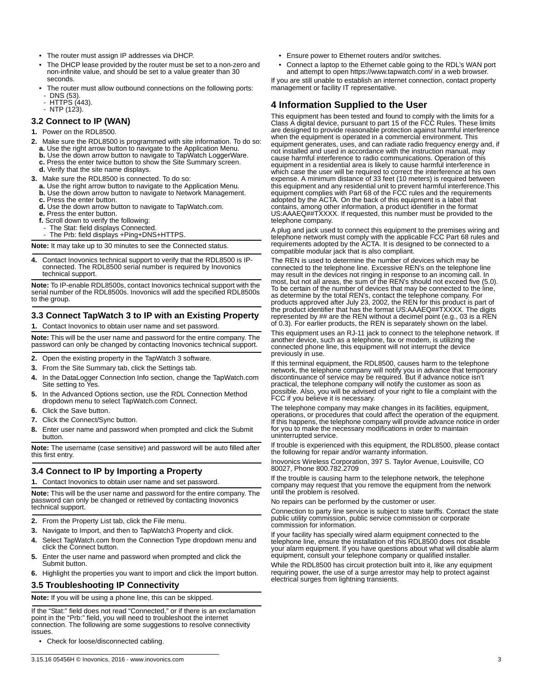- The router must assign IP addresses via DHCP.
- The DHCP lease provided by the router must be set to a non-zero and non-infinite value, and should be set to a value greater than 30 seconds.
- The router must allow outbound connections on the following ports: DNS (53).
- HTTPS (443). NTP (123).
- 

## **3.2 Connect to IP (WAN)**

- **1.** Power on the RDL8500.
- **2.** Make sure the RDL8500 is programmed with site information. To do so: **a.** Use the right arrow button to navigate to the Application Menu.
	- **b.** Use the down arrow button to navigate to TapWatch LoggerWare.
	- **c.** Press the enter twice button to show the Site Summary screen.
	- **d.** Verify that the site name displays.
- **3.** Make sure the RDL8500 is connected. To do so:
	- **a.** Use the right arrow button to navigate to the Application Menu.
	- **b.** Use the down arrow button to navigate to Network Management. **c.** Press the enter button.
	-
	- **d.** Use the down arrow button to navigate to TapWatch.com. **e.** Press the enter button.
	- **f.** Scroll down to verify the following:
	-
	- The Stat: field displays Connected. The Prb: field displays +Ping+DNS+HTTPS.

**Note:** It may take up to 30 minutes to see the Connected status.

**4.** Contact Inovonics technical support to verify that the RDL8500 is IPconnected. The RDL8500 serial number is required by Inovonics technical support.

**Note:** To IP-enable RDL8500s, contact Inovonics technical support with the serial number of the RDL8500s. Inovonics will add the specified RDL8500s to the group.

### **3.3 Connect TapWatch 3 to IP with an Existing Property**

**1.** Contact Inovonics to obtain user name and set password.

**Note:** This will be the user name and password for the entire company. The password can only be changed by contacting Inovonics technical support.

- **2.** Open the existing property in the TapWatch 3 software.
- **3.** From the Site Summary tab, click the Settings tab.
- **4.** In the DataLogger Connection Info section, change the TapWatch.com Site setting to Yes.
- **5.** In the Advanced Options section, use the RDL Connection Method dropdown menu to select TapWatch.com Connect.
- **6.** Click the Save button.
- **7.** Click the Connect/Sync button.
- **8.** Enter user name and password when prompted and click the Submit button.

**Note:** The username (case sensitive) and password will be auto filled after this first entry.

## **3.4 Connect to IP by Importing a Property**

**1.** Contact Inovonics to obtain user name and set password.

**Note:** This will be the user name and password for the entire company. The password can only be changed or retrieved by contacting Inovonics technical support.

- **2.** From the Property List tab, click the File menu.
- **3.** Navigate to Import, and then to TapWatch3 Property and click.
- **4.** Select TapWatch.com from the Connection Type dropdown menu and click the Connect button.
- **5.** Enter the user name and password when prompted and click the Submit button.
- **6.** Highlight the properties you want to import and click the Import button.

#### **3.5 Troubleshooting IP Connectivity**

**Note:** If you will be using a phone line, this can be skipped.

If the "Stat:" field does not read "Connected," or if there is an exclamation point in the "Prb:" field, you will need to troubleshoot the internet connection. The following are some suggestions to resolve connectivity issues.

• Check for loose/disconnected cabling.

- Ensure power to Ethernet routers and/or switches.
- Connect a laptop to the Ethernet cable going to the RDL's WAN port and attempt to open https://www.tapwatch.com/ in a web browser.

If you are still unable to establish an internet connection, contact property management or facility IT representative.

## **4 Information Supplied to the User**

This equipment has been tested and found to comply with the limits for a Class A digital device, pursuant to part 15 of the FCC Rules. These limits are designed to provide reasonable protection against harmful interference when the equipment is operated in a commercial environment. This equipment generates, uses, and can radiate radio frequency energy and, if not installed and used in accordance with the instruction manual, may cause harmful interference to radio communications. Operation of this equipment in a residential area is likely to cause harmful interference in which case the user will be required to correct the interference at his own expense. A minimum distance of 33 feet (10 meters) is required between this equipment and any residential unit to prevent harmful interference.This equipment complies with Part 68 of the FCC rules and the requirements adopted by the ACTA. On the back of this equipment is a label that contains, among other information, a product identifier in the format US:AAAEQ##TXXXX. If requested, this number must be provided to the telephone company.

A plug and jack used to connect this equipment to the premises wiring and telephone network must comply with the applicable FCC Part 68 rules and requirements adopted by the ACTA. It is designed to be connected to a compatible modular jack that is also compliant.

The REN is used to determine the number of devices which may be connected to the telephone line. Excessive REN's on the telephone line may result in the devices not ringing in response to an incoming call. In most, but not all areas, the sum of the REN's should not exceed five (5.0). To be certain of the number of devices that may be connected to the line, as determine by the total REN's, contact the telephone company. For products approved after July 23, 2002, the REN for this product is part of the product identifier that has the format US:AAAEQ##TXXXX. The digits represented by ## are the REN without a decimel point (e.g., 03 is a REN of 0.3). For earlier products, the REN is separately shown on the label.

This equipment uses an RJ-11 jack to connect to the telephone network. If another device, such as a telephone, fax or modem, is utilizing the connected phone line, this equipment will not interrupt the device previously in use.

If this terminal equipment, the RDL8500, causes harm to the telephone network, the telephone company will notify you in advance that temporary discontinuance of service may be required. But if advance notice isn't practical, the telephone company will notify the customer as soon as possible. Also, you will be advised of your right to file a complaint with the FCC if you believe it is necessary.

The telephone company may make changes in its facilities, equipment, operations, or procedures that could affect the operation of the equipment. If this happens, the telephone company will provide advance notice in order for you to make the necessary modifications in order to maintain uninterrupted service.

If trouble is experienced with this equipment, the RDL8500, please contact the following for repair and/or warranty information.

Inovonics Wireless Corporation, 397 S. Taylor Avenue, Louisville, CO 80027, Phone 800.782.2709

If the trouble is causing harm to the telephone network, the telephone company may request that you remove the equipment from the network until the problem is resolved.

No repairs can be performed by the customer or user.

Connection to party line service is subject to state tariffs. Contact the state public utility commission, public service commission or corporate commission for information.

If your facility has specially wired alarm equipment connected to the telephone line, ensure the installation of this RDL8500 does not disable your alarm equipment. If you have questions about what will disable alarm equipment, consult your telephone company or qualified installer.

While the RDL8500 has circuit protection built into it, like any equipment requiring power, the use of a surge arrestor may help to protect against electrical surges from lightning transients.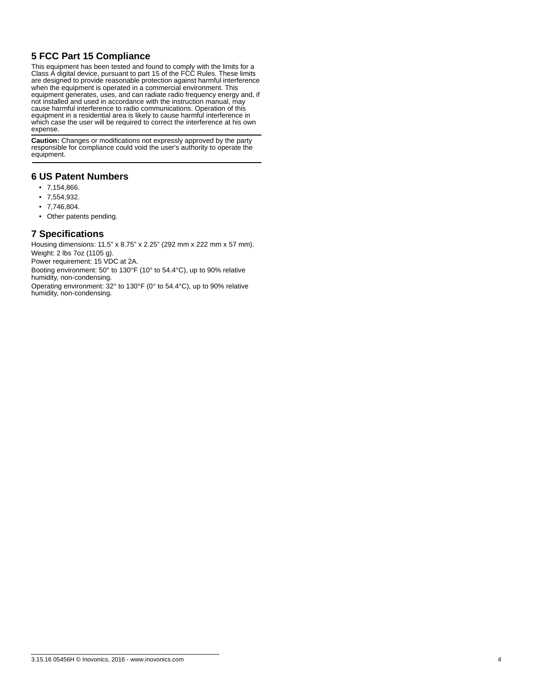# **5 FCC Part 15 Compliance**

This equipment has been tested and found to comply with the limits for a Class A digital device, pursuant to part 15 of the FCC Rules. These limits are designed to provide reasonable protection against harmful interference when the equipment is operated in a commercial environment. This equipment generates, uses, and can radiate radio frequency energy and, if not installed and used in accordance with the instruction manual, may cause harmful interference to radio communications. Operation of this equipment in a residential area is likely to cause harmful interference in which case the user will be required to correct the interference at his own expense.

**Caution:** Changes or modifications not expressly approved by the party responsible for compliance could void the user's authority to operate the equipment.

## **6 US Patent Numbers**

- 7,154,866.
- 7,554,932.
- 7,746,804.
- Other patents pending.

## **7 Specifications**

Housing dimensions: 11.5" x 8.75" x 2.25" (292 mm x 222 mm x 57 mm). Weight: 2 lbs 7oz (1105 g).

Power requirement: 15 VDC at 2A.

Booting environment: 50° to 130°F (10° to 54.4°C), up to 90% relative humidity, non-condensing.

Operating environment: 32° to 130°F (0° to 54.4°C), up to 90% relative humidity, non-condensing.